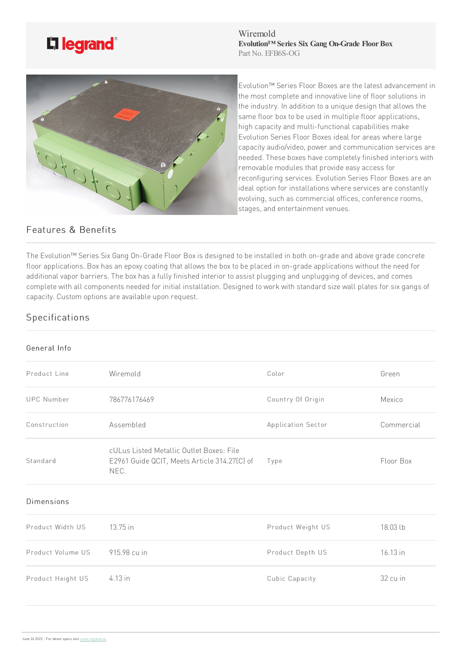

Wiremold **Evolution™ Series Six Gang On-Grade FloorBox** Part No. EFB6S-OG



Evolution™ Series Floor Boxes are the latest advancement in the most complete and innovative line of floor solutions in the industry. In addition to a unique design that allows the same floor box to be used in multiple floor applications, high capacity and multi-functional capabilities make Evolution Series Floor Boxes ideal for areas where large capacity audio/video, power and communication services are needed. These boxes have completely finished interiors with removable modules that provide easy access for reconfiguring services. Evolution Series Floor Boxes are an ideal option for installations where services are constantly evolving, such as commercial offices, conference rooms, stages, and entertainment venues.

## Features & Benefits

The Evolution™ Series Six Gang On-Grade Floor Box is designed to be installed in both on-grade and above grade concrete floor applications. Box has an epoxy coating that allows the box to be placed in on-grade applications without the need for additional vapor barriers. The box has a fully finished interior to assist plugging and unplugging of devices, and comes complete with all components needed for initial installation. Designed to work with standard size wall plates for six gangs of capacity. Custom options are available upon request.

## Specifications

## General Info

| Product Line      | Wiremold                                                                                         | Color              | Green      |
|-------------------|--------------------------------------------------------------------------------------------------|--------------------|------------|
| <b>UPC Number</b> | 786776176469                                                                                     | Country Of Origin  | Mexico     |
| Construction      | Assembled                                                                                        | Application Sector | Commercial |
| Standard          | cULus Listed Metallic Outlet Boxes: File<br>E2961 Guide QCIT, Meets Article 314.27(C) of<br>NEC. | Type               | Floor Box  |
| <b>Dimensions</b> |                                                                                                  |                    |            |
| Product Width US  | 13.75 in                                                                                         | Product Weight US  | 18.03 lb   |
| Product Volume US | 915.98 cu in                                                                                     | Product Depth US   | 16.13 in   |
| Product Height US | 4.13 in                                                                                          | Cubic Capacity     | 32 cu in   |
|                   |                                                                                                  |                    |            |